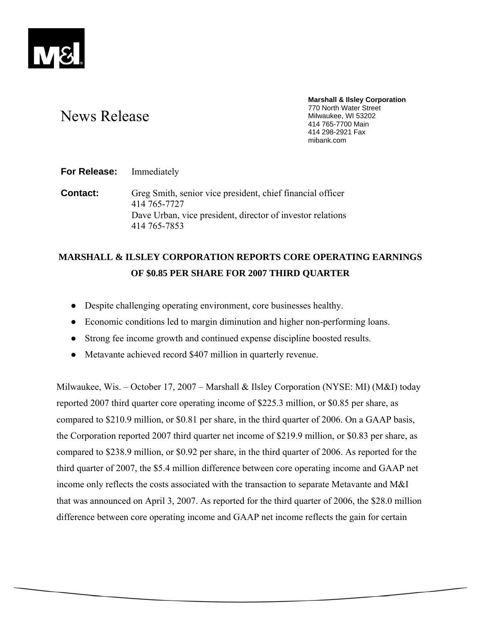

# News Release

**Marshall & Ilsley Corporation**  770 North Water Street Milwaukee, WI 53202 414 765-7700 Main 414 298-2921 Fax mibank.com

**For Release:** Immediately

**Contact:** Greg Smith, senior vice president, chief financial officer 414 765-7727 Dave Urban, vice president, director of investor relations 414 765-7853

# **MARSHALL & ILSLEY CORPORATION REPORTS CORE OPERATING EARNINGS OF \$0.85 PER SHARE FOR 2007 THIRD QUARTER**

- Despite challenging operating environment, core businesses healthy.
- Economic conditions led to margin diminution and higher non-performing loans.
- Strong fee income growth and continued expense discipline boosted results.
- Metavante achieved record \$407 million in quarterly revenue.

Milwaukee, Wis. – October 17, 2007 – Marshall & Ilsley Corporation (NYSE: MI) (M&I) today reported 2007 third quarter core operating income of \$225.3 million, or \$0.85 per share, as compared to \$210.9 million, or \$0.81 per share, in the third quarter of 2006. On a GAAP basis, the Corporation reported 2007 third quarter net income of \$219.9 million, or \$0.83 per share, as compared to \$238.9 million, or \$0.92 per share, in the third quarter of 2006. As reported for the third quarter of 2007, the \$5.4 million difference between core operating income and GAAP net income only reflects the costs associated with the transaction to separate Metavante and M&I that was announced on April 3, 2007. As reported for the third quarter of 2006, the \$28.0 million difference between core operating income and GAAP net income reflects the gain for certain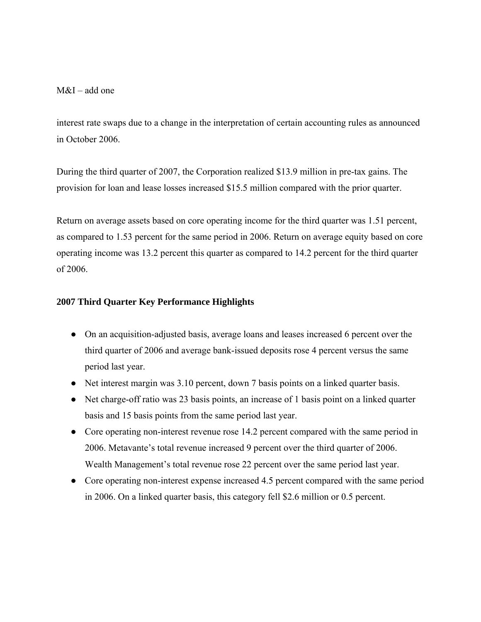$M&I$  – add one

interest rate swaps due to a change in the interpretation of certain accounting rules as announced in October 2006.

During the third quarter of 2007, the Corporation realized \$13.9 million in pre-tax gains. The provision for loan and lease losses increased \$15.5 million compared with the prior quarter.

Return on average assets based on core operating income for the third quarter was 1.51 percent, as compared to 1.53 percent for the same period in 2006. Return on average equity based on core operating income was 13.2 percent this quarter as compared to 14.2 percent for the third quarter of 2006.

# **2007 Third Quarter Key Performance Highlights**

- On an acquisition-adjusted basis, average loans and leases increased 6 percent over the third quarter of 2006 and average bank-issued deposits rose 4 percent versus the same period last year.
- Net interest margin was 3.10 percent, down 7 basis points on a linked quarter basis.
- Net charge-off ratio was 23 basis points, an increase of 1 basis point on a linked quarter basis and 15 basis points from the same period last year.
- Core operating non-interest revenue rose 14.2 percent compared with the same period in 2006. Metavante's total revenue increased 9 percent over the third quarter of 2006. Wealth Management's total revenue rose 22 percent over the same period last year.
- Core operating non-interest expense increased 4.5 percent compared with the same period in 2006. On a linked quarter basis, this category fell \$2.6 million or 0.5 percent.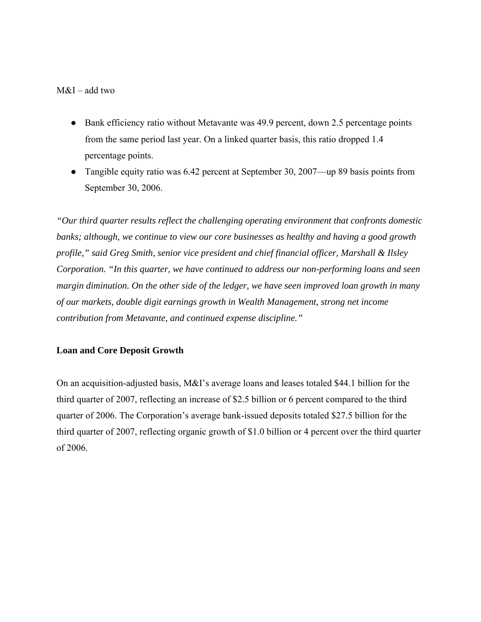# M&I – add two

- Bank efficiency ratio without Metavante was 49.9 percent, down 2.5 percentage points from the same period last year. On a linked quarter basis, this ratio dropped 1.4 percentage points.
- Tangible equity ratio was 6.42 percent at September 30, 2007—up 89 basis points from September 30, 2006.

*"Our third quarter results reflect the challenging operating environment that confronts domestic banks; although, we continue to view our core businesses as healthy and having a good growth profile," said Greg Smith, senior vice president and chief financial officer, Marshall & Ilsley Corporation. "In this quarter, we have continued to address our non-performing loans and seen margin diminution. On the other side of the ledger, we have seen improved loan growth in many of our markets, double digit earnings growth in Wealth Management, strong net income contribution from Metavante, and continued expense discipline."* 

# **Loan and Core Deposit Growth**

On an acquisition-adjusted basis, M&I's average loans and leases totaled \$44.1 billion for the third quarter of 2007, reflecting an increase of \$2.5 billion or 6 percent compared to the third quarter of 2006. The Corporation's average bank-issued deposits totaled \$27.5 billion for the third quarter of 2007, reflecting organic growth of \$1.0 billion or 4 percent over the third quarter of 2006.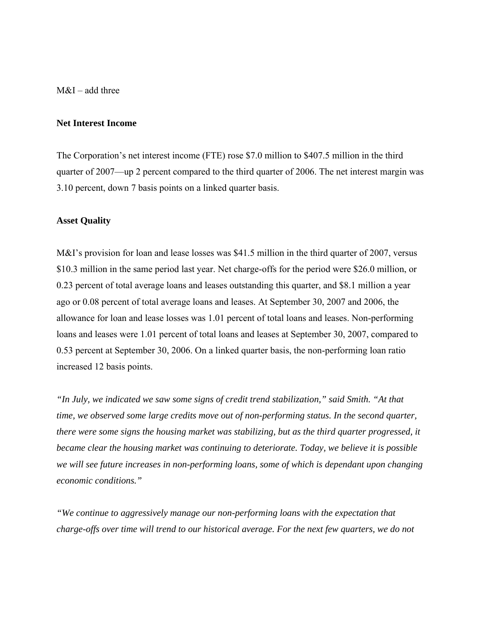M&I – add three

#### **Net Interest Income**

The Corporation's net interest income (FTE) rose \$7.0 million to \$407.5 million in the third quarter of 2007—up 2 percent compared to the third quarter of 2006. The net interest margin was 3.10 percent, down 7 basis points on a linked quarter basis.

#### **Asset Quality**

M&I's provision for loan and lease losses was \$41.5 million in the third quarter of 2007, versus \$10.3 million in the same period last year. Net charge-offs for the period were \$26.0 million, or 0.23 percent of total average loans and leases outstanding this quarter, and \$8.1 million a year ago or 0.08 percent of total average loans and leases. At September 30, 2007 and 2006, the allowance for loan and lease losses was 1.01 percent of total loans and leases. Non-performing loans and leases were 1.01 percent of total loans and leases at September 30, 2007, compared to 0.53 percent at September 30, 2006. On a linked quarter basis, the non-performing loan ratio increased 12 basis points.

*"In July, we indicated we saw some signs of credit trend stabilization," said Smith. "At that time, we observed some large credits move out of non-performing status. In the second quarter, there were some signs the housing market was stabilizing, but as the third quarter progressed, it became clear the housing market was continuing to deteriorate. Today, we believe it is possible we will see future increases in non-performing loans, some of which is dependant upon changing economic conditions."* 

*"We continue to aggressively manage our non-performing loans with the expectation that charge-offs over time will trend to our historical average. For the next few quarters, we do not*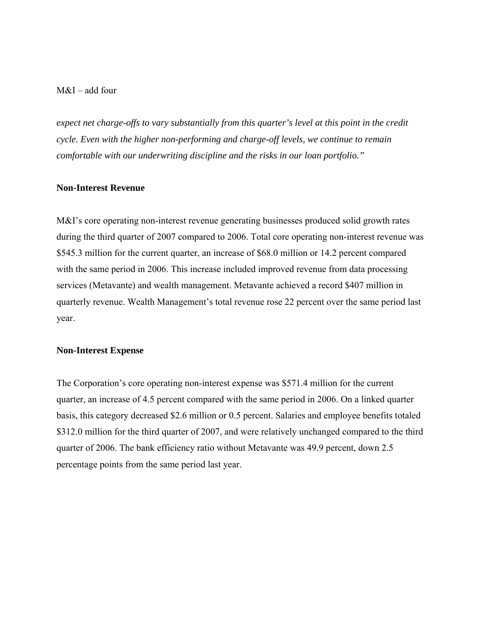M&I – add four

*expect net charge-offs to vary substantially from this quarter's level at this point in the credit cycle. Even with the higher non-performing and charge-off levels, we continue to remain comfortable with our underwriting discipline and the risks in our loan portfolio."* 

## **Non-Interest Revenue**

M&I's core operating non-interest revenue generating businesses produced solid growth rates during the third quarter of 2007 compared to 2006. Total core operating non-interest revenue was \$545.3 million for the current quarter, an increase of \$68.0 million or 14.2 percent compared with the same period in 2006. This increase included improved revenue from data processing services (Metavante) and wealth management. Metavante achieved a record \$407 million in quarterly revenue. Wealth Management's total revenue rose 22 percent over the same period last year.

#### **Non-Interest Expense**

The Corporation's core operating non-interest expense was \$571.4 million for the current quarter, an increase of 4.5 percent compared with the same period in 2006. On a linked quarter basis, this category decreased \$2.6 million or 0.5 percent. Salaries and employee benefits totaled \$312.0 million for the third quarter of 2007, and were relatively unchanged compared to the third quarter of 2006. The bank efficiency ratio without Metavante was 49.9 percent, down 2.5 percentage points from the same period last year.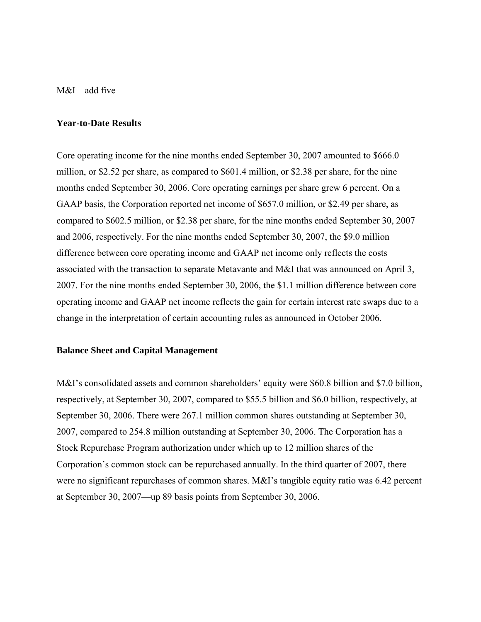$M&I$  – add five

#### **Year-to-Date Results**

Core operating income for the nine months ended September 30, 2007 amounted to \$666.0 million, or \$2.52 per share, as compared to \$601.4 million, or \$2.38 per share, for the nine months ended September 30, 2006. Core operating earnings per share grew 6 percent. On a GAAP basis, the Corporation reported net income of \$657.0 million, or \$2.49 per share, as compared to \$602.5 million, or \$2.38 per share, for the nine months ended September 30, 2007 and 2006, respectively. For the nine months ended September 30, 2007, the \$9.0 million difference between core operating income and GAAP net income only reflects the costs associated with the transaction to separate Metavante and M&I that was announced on April 3, 2007. For the nine months ended September 30, 2006, the \$1.1 million difference between core operating income and GAAP net income reflects the gain for certain interest rate swaps due to a change in the interpretation of certain accounting rules as announced in October 2006.

#### **Balance Sheet and Capital Management**

M&I's consolidated assets and common shareholders' equity were \$60.8 billion and \$7.0 billion, respectively, at September 30, 2007, compared to \$55.5 billion and \$6.0 billion, respectively, at September 30, 2006. There were 267.1 million common shares outstanding at September 30, 2007, compared to 254.8 million outstanding at September 30, 2006. The Corporation has a Stock Repurchase Program authorization under which up to 12 million shares of the Corporation's common stock can be repurchased annually. In the third quarter of 2007, there were no significant repurchases of common shares. M&I's tangible equity ratio was 6.42 percent at September 30, 2007—up 89 basis points from September 30, 2006.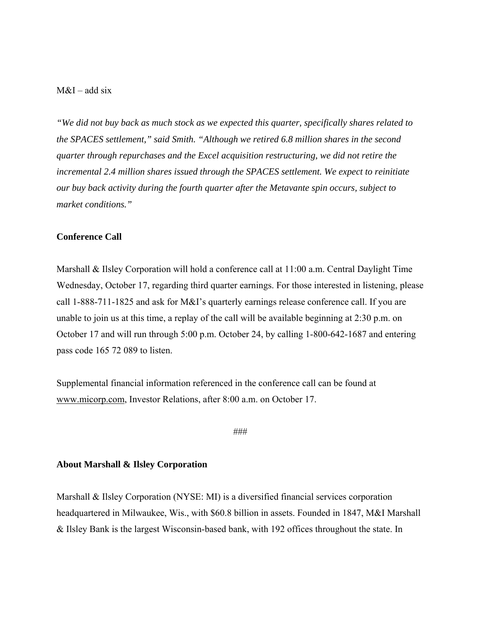# $M&I$  – add six

*"We did not buy back as much stock as we expected this quarter, specifically shares related to the SPACES settlement," said Smith. "Although we retired 6.8 million shares in the second quarter through repurchases and the Excel acquisition restructuring, we did not retire the incremental 2.4 million shares issued through the SPACES settlement. We expect to reinitiate our buy back activity during the fourth quarter after the Metavante spin occurs, subject to market conditions."* 

#### **Conference Call**

Marshall & Ilsley Corporation will hold a conference call at 11:00 a.m. Central Daylight Time Wednesday, October 17, regarding third quarter earnings. For those interested in listening, please call 1-888-711-1825 and ask for M&I's quarterly earnings release conference call. If you are unable to join us at this time, a replay of the call will be available beginning at 2:30 p.m. on October 17 and will run through 5:00 p.m. October 24, by calling 1-800-642-1687 and entering pass code 165 72 089 to listen.

Supplemental financial information referenced in the conference call can be found at www.micorp.com, Investor Relations, after 8:00 a.m. on October 17.

###

#### **About Marshall & Ilsley Corporation**

Marshall & Ilsley Corporation (NYSE: MI) is a diversified financial services corporation headquartered in Milwaukee, Wis., with \$60.8 billion in assets. Founded in 1847, M&I Marshall & Ilsley Bank is the largest Wisconsin-based bank, with 192 offices throughout the state. In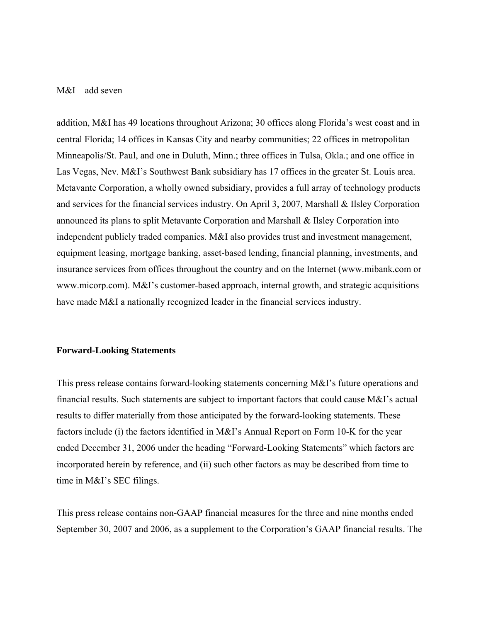## M&I – add seven

addition, M&I has 49 locations throughout Arizona; 30 offices along Florida's west coast and in central Florida; 14 offices in Kansas City and nearby communities; 22 offices in metropolitan Minneapolis/St. Paul, and one in Duluth, Minn.; three offices in Tulsa, Okla.; and one office in Las Vegas, Nev. M&I's Southwest Bank subsidiary has 17 offices in the greater St. Louis area. Metavante Corporation, a wholly owned subsidiary, provides a full array of technology products and services for the financial services industry. On April 3, 2007, Marshall & Ilsley Corporation announced its plans to split Metavante Corporation and Marshall & Ilsley Corporation into independent publicly traded companies. M&I also provides trust and investment management, equipment leasing, mortgage banking, asset-based lending, financial planning, investments, and insurance services from offices throughout the country and on the Internet (www.mibank.com or www.micorp.com). M&I's customer-based approach, internal growth, and strategic acquisitions have made M&I a nationally recognized leader in the financial services industry.

#### **Forward-Looking Statements**

This press release contains forward-looking statements concerning M&I's future operations and financial results. Such statements are subject to important factors that could cause M&I's actual results to differ materially from those anticipated by the forward-looking statements. These factors include (i) the factors identified in M&I's Annual Report on Form 10-K for the year ended December 31, 2006 under the heading "Forward-Looking Statements" which factors are incorporated herein by reference, and (ii) such other factors as may be described from time to time in M&I's SEC filings.

This press release contains non-GAAP financial measures for the three and nine months ended September 30, 2007 and 2006, as a supplement to the Corporation's GAAP financial results. The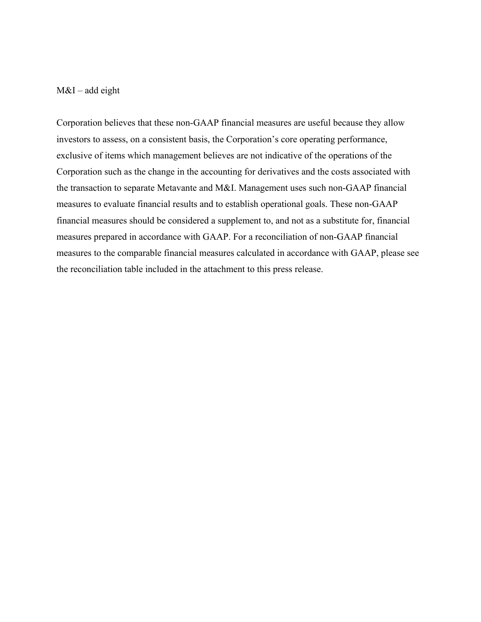# $M&I$  – add eight

Corporation believes that these non-GAAP financial measures are useful because they allow investors to assess, on a consistent basis, the Corporation's core operating performance, exclusive of items which management believes are not indicative of the operations of the Corporation such as the change in the accounting for derivatives and the costs associated with the transaction to separate Metavante and M&I. Management uses such non-GAAP financial measures to evaluate financial results and to establish operational goals. These non-GAAP financial measures should be considered a supplement to, and not as a substitute for, financial measures prepared in accordance with GAAP. For a reconciliation of non-GAAP financial measures to the comparable financial measures calculated in accordance with GAAP, please see the reconciliation table included in the attachment to this press release.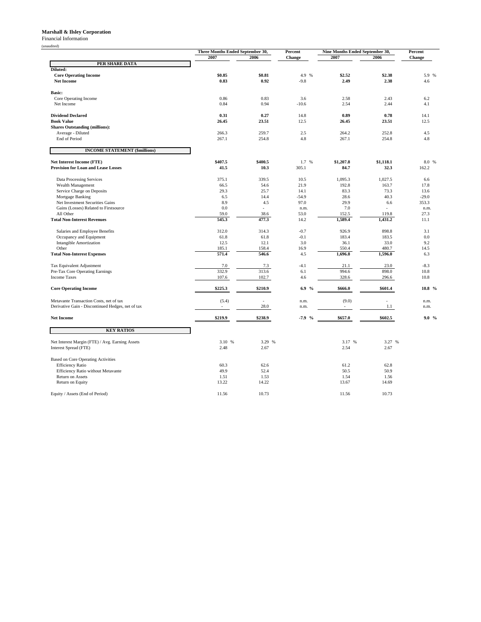#### **Marshall & Ilsley Corporation**

Financial Information

(unaudited)

| audited)                                                                 | Three Months Ended September 30, |               | Percent                 | Nine Months Ended September 30, |                          | Percent      |
|--------------------------------------------------------------------------|----------------------------------|---------------|-------------------------|---------------------------------|--------------------------|--------------|
|                                                                          | 2007                             | 2006          | Change                  | 2007                            | 2006                     | Change       |
| PER SHARE DATA                                                           |                                  |               |                         |                                 |                          |              |
| Diluted:                                                                 |                                  |               |                         |                                 |                          |              |
| <b>Core Operating Income</b>                                             | \$0.85                           | \$0.81        | 4.9 %                   | \$2.52                          | \$2.38                   | 5.9 %        |
| <b>Net Income</b>                                                        | 0.83                             | 0.92          | $-9.8$                  | 2.49                            | 2.38                     | 4.6          |
| <b>Basic:</b>                                                            |                                  |               |                         |                                 |                          |              |
| Core Operating Income                                                    | 0.86                             | 0.83          | 3.6                     | 2.58                            | 2.43                     | 6.2          |
| Net Income                                                               | 0.84                             | 0.94          | $-10.6$                 | 2.54                            | 2.44                     | 4.1          |
|                                                                          |                                  |               |                         |                                 |                          |              |
| <b>Dividend Declared</b><br><b>Book Value</b>                            | 0.31<br>26.45                    | 0.27<br>23.51 | 14.8<br>12.5            | 0.89<br>26.45                   | 0.78<br>23.51            | 14.1<br>12.5 |
| <b>Shares Outstanding (millions):</b>                                    |                                  |               |                         |                                 |                          |              |
| Average - Diluted                                                        | 266.3                            | 259.7         | 2.5                     | 264.2                           | 252.8                    | 4.5          |
| End of Period                                                            | 267.1                            | 254.8         | 4.8                     | 267.1                           | 254.8                    | 4.8          |
|                                                                          |                                  |               |                         |                                 |                          |              |
| <b>INCOME STATEMENT (\$millions)</b>                                     |                                  |               |                         |                                 |                          |              |
| <b>Net Interest Income (FTE)</b>                                         | \$407.5                          | \$400.5       | 1.7 %                   | \$1,207.8                       | \$1,118.1                | 8.0 %        |
| <b>Provision for Loan and Lease Losses</b>                               | 41.5                             | 10.3          | 305.1                   | 84.7                            | 32.3                     | 162.2        |
|                                                                          |                                  |               |                         |                                 |                          |              |
| Data Processing Services                                                 | 375.1                            | 339.5         | 10.5<br>21.9            | 1,095.3                         | 1,027.5                  | 6.6          |
| Wealth Management<br>Service Charge on Deposits                          | 66.5<br>29.3                     | 54.6<br>25.7  | 14.1                    | 192.8<br>83.3                   | 163.7<br>73.3            | 17.8<br>13.6 |
| Mortgage Banking                                                         | 6.5                              | 14.4          | $-54.9$                 | 28.6                            | 40.3                     | $-29.0$      |
| Net Investment Securities Gains                                          | 8.9                              | 4.5           | 97.0                    | 29.9                            | 6.6                      | 353.3        |
| Gains (Losses) Related to Firstsource                                    | 0.0                              | $\sim$        | n.m.                    | 7.0                             | ÷.                       | n.m.         |
| All Other                                                                | 59.0                             | 38.6          | 53.0                    | 152.5                           | 119.8                    | 27.3         |
| <b>Total Non-Interest Revenues</b>                                       | 545.3                            | 477.3         | 14.2                    | 1,589.4                         | 1,431.2                  | 11.1         |
| Salaries and Employee Benefits                                           | 312.0                            | 314.3         | $-0.7$                  | 926.9                           | 898.8                    | 3.1          |
| Occupancy and Equipment                                                  | 61.8                             | 61.8          | $-0.1$                  | 183.4                           | 183.5                    | 0.0          |
| <b>Intangible Amortization</b>                                           | 12.5                             | 12.1          | 3.0                     | 36.1                            | 33.0                     | 9.2          |
| Other                                                                    | 185.1                            | 158.4         | 16.9                    | 550.4                           | 480.7                    | 14.5         |
| <b>Total Non-Interest Expenses</b>                                       | 571.4                            | 546.6         | 4.5                     | 1,696.8                         | 1,596.0                  | 6.3          |
| Tax Equivalent Adjustment                                                | 7.0                              | 7.3           | $-4.1$                  | 21.1                            | 23.0                     | $-8.3$       |
| Pre-Tax Core Operating Earnings                                          | 332.9                            | 313.6         | 6.1                     | 994.6                           | 898.0                    | 10.8         |
| <b>Income Taxes</b>                                                      | 107.6                            | 102.7         | 4.6                     | 328.6                           | 296.6                    | 10.8         |
|                                                                          |                                  |               |                         |                                 |                          |              |
| <b>Core Operating Income</b>                                             | \$225.3                          | \$210.9       | 6.9 %                   | \$666.0                         | \$601.4                  | 10.8 %       |
| Metavante Transaction Costs, net of tax                                  | (5.4)                            |               | n.m.                    | (9.0)                           | $\overline{\phantom{a}}$ | n.m.         |
| Derivative Gain - Discontinued Hedges, net of tax                        | ÷                                | 28.0          | n.m.                    |                                 | 1.1                      | n.m.         |
|                                                                          |                                  |               |                         |                                 |                          |              |
| <b>Net Income</b>                                                        | \$219.9                          | \$238.9       | $-7.9$<br>$\frac{0}{0}$ | \$657.0                         | \$602.5                  | $9.0\%$      |
| <b>KEY RATIOS</b>                                                        |                                  |               |                         |                                 |                          |              |
|                                                                          | 3.10 %                           | 3.29<br>%     |                         | 3.17 %                          | 3.27 %                   |              |
| Net Interest Margin (FTE) / Avg. Earning Assets<br>Interest Spread (FTE) | 2.48                             | 2.67          |                         | 2.54                            | 2.67                     |              |
|                                                                          |                                  |               |                         |                                 |                          |              |
| Based on Core Operating Activities                                       |                                  |               |                         |                                 |                          |              |
| <b>Efficiency Ratio</b>                                                  | 60.3                             | 62.6          |                         | 61.2                            | 62.8                     |              |
| Efficiency Ratio without Metavante                                       | 49.9                             | 52.4          |                         | 50.5                            | 50.9                     |              |
| Return on Assets                                                         | 1.51                             | 1.53          |                         | 1.54                            | 1.56                     |              |
| Return on Equity                                                         | 13.22                            | 14.22         |                         | 13.67                           | 14.69                    |              |
| Equity / Assets (End of Period)                                          | 11.56                            | 10.73         |                         | 11.56                           | 10.73                    |              |
|                                                                          |                                  |               |                         |                                 |                          |              |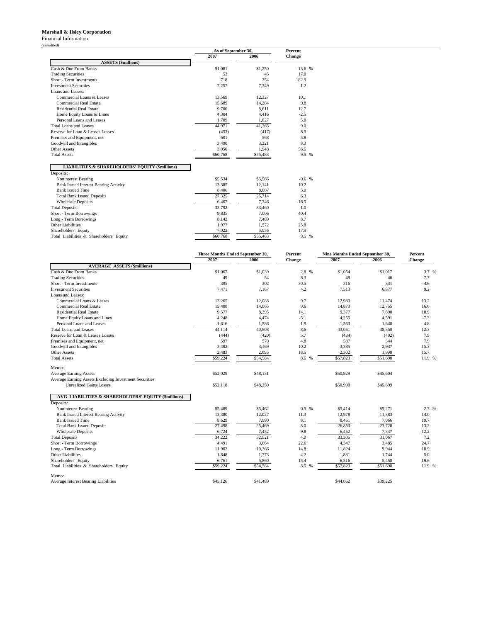#### **Marshall & Ilsley Corporation**

Financial Information

|                                                                         | As of September 30, |          | <b>Percent</b> |  |
|-------------------------------------------------------------------------|---------------------|----------|----------------|--|
|                                                                         | 2007                | 2006     | Change         |  |
| <b>ASSETS (\$millions)</b>                                              |                     |          |                |  |
| Cash & Due From Banks                                                   | \$1.081             | \$1,250  | $-13.6%$       |  |
| <b>Trading Securities</b>                                               | 53                  | 45       | 17.0           |  |
| Short - Term Investments                                                | 718                 | 254      | 182.9          |  |
| <b>Investment Securities</b>                                            | 7.257               | 7.349    | $-1.2$         |  |
| Loans and Leases:                                                       |                     |          |                |  |
| Commercial Loans & Leases                                               | 13.569              | 12.327   | 10.1           |  |
| Commercial Real Estate                                                  | 15,689              | 14,284   | 9.8            |  |
| <b>Residential Real Estate</b>                                          | 9.700               | 8.611    | 12.7           |  |
| Home Equity Loans & Lines                                               | 4.304               | 4.416    | $-2.5$         |  |
| Personal Loans and Leases                                               | 1,709               | 1,627    | 5.0            |  |
| Total Loans and Leases                                                  | 44.971              | 41,265   | 9.0            |  |
| Reserve for Loan & Leases Losses                                        | (453)               | (417)    | 8.5            |  |
| Premises and Equipment, net                                             | 601                 | 568      | 5.8            |  |
| Goodwill and Intangibles                                                | 3,490               | 3,221    | 8.3            |  |
| Other Assets                                                            | 3,050               | 1.948    | 56.5           |  |
| <b>Total Assets</b>                                                     | \$60,768            | \$55,483 | 9.5 %          |  |
| <b>LIABILITIES &amp; SHAREHOLDERS' EQUITY (\$millions)</b><br>Deposits: |                     |          |                |  |
| Noninterest Bearing                                                     | \$5,534             | \$5,566  | $-0.6$ %       |  |
| <b>Bank Issued Interest Bearing Activity</b>                            | 13,385              | 12,141   | 10.2           |  |
| <b>Bank Issued Time</b>                                                 | 8,406               | 8.007    | 5.0            |  |
| <b>Total Bank Issued Deposits</b>                                       | 27,325              | 25,714   | 6.3            |  |
| <b>Wholesale Deposits</b>                                               | 6,467               | 7,746    | $-16.5$        |  |
| <b>Total Deposits</b>                                                   | 33,792              | 33,460   | 1.0            |  |
| Short - Term Borrowings                                                 | 9.835               | 7.006    | 40.4           |  |
| Long - Term Borrowings                                                  | 8,142               | 7,489    | 8.7            |  |
| Other Liabilities                                                       | 1.977               | 1.572    | 25.8           |  |
| Shareholders' Equity                                                    | 7,022               | 5,956    | 17.9           |  |
| Total Liabilities & Shareholders' Equity                                | \$60,768            | \$55,483 | 9.5 %          |  |

|                                                        |          | Three Months Ended September 30,<br>Percent |        | Nine Months Ended September 30, |          | Percent       |  |
|--------------------------------------------------------|----------|---------------------------------------------|--------|---------------------------------|----------|---------------|--|
|                                                        | 2007     | 2006                                        | Change | 2007                            | 2006     | <b>Change</b> |  |
| <b>AVERAGE ASSETS (\$millions)</b>                     |          |                                             |        |                                 |          |               |  |
| Cash & Due From Banks                                  | \$1,067  | \$1,039                                     | 2.8 %  | \$1,054                         | \$1,017  | 3.7 %         |  |
| <b>Trading Securities</b>                              | 49       | 54                                          | $-8.3$ | 49                              | 46       | 7.7           |  |
| Short - Term Investments                               | 395      | 302                                         | 30.5   | 316                             | 331      | $-4.6$        |  |
| <b>Investment Securities</b>                           | 7,471    | 7,167                                       | 4.2    | 7,513                           | 6.877    | 9.2           |  |
| Loans and Leases:                                      |          |                                             |        |                                 |          |               |  |
| Commercial Loans & Leases                              | 13,265   | 12,088                                      | 9.7    | 12,983                          | 11,474   | 13.2          |  |
| <b>Commercial Real Estate</b>                          | 15,408   | 14,065                                      | 9.6    | 14,873                          | 12,755   | 16.6          |  |
| <b>Residential Real Estate</b>                         | 9,577    | 8,395                                       | 14.1   | 9,377                           | 7,890    | 18.9          |  |
| Home Equity Loans and Lines                            | 4,248    | 4,474                                       | $-5.1$ | 4,255                           | 4,591    | $-7.3$        |  |
| Personal Loans and Leases                              | 1,616    | 1,586                                       | 1.9    | 1,563                           | 1,640    | $-4.8$        |  |
| <b>Total Loans and Leases</b>                          | 44,114   | 40,608                                      | 8.6    | 43,051                          | 38,350   | 12.3          |  |
| Reserve for Loan & Leases Losses                       | (444)    | (420)                                       | 5.7    | (434)                           | (402)    | 7.9           |  |
| Premises and Equipment, net                            | 597      | 570                                         | 4.8    | 587                             | 544      | 7.9           |  |
| Goodwill and Intangibles                               | 3,492    | 3,169                                       | 10.2   | 3,385                           | 2,937    | 15.3          |  |
| Other Assets                                           | 2,483    | 2,095                                       | 18.5   | 2,302                           | 1,990    | 15.7          |  |
| <b>Total Assets</b>                                    | \$59,224 | \$54,584                                    | 8.5 %  | \$57,823                        | \$51,690 | 11.9 %        |  |
| Memo:                                                  |          |                                             |        |                                 |          |               |  |
| <b>Average Earning Assets</b>                          | \$52,029 | \$48,131                                    |        | \$50,929                        | \$45,604 |               |  |
| Average Earning Assets Excluding Investment Securities |          |                                             |        |                                 |          |               |  |
| <b>Unrealized Gains/Losses</b>                         | \$52,118 | \$48,250                                    |        | \$50,990                        | \$45,699 |               |  |
| AVG LIABILITIES & SHAREHOLDERS' EQUITY (\$millions)    |          |                                             |        |                                 |          |               |  |
| Deposits:                                              |          |                                             |        |                                 |          |               |  |
| Noninterest Bearing                                    | \$5,489  | \$5,462                                     | 0.5%   | \$5,414                         | \$5,271  | 2.7 %         |  |
| Bank Issued Interest Bearing Activity                  | 13,380   | 12,027                                      | 11.3   | 12,978                          | 11,383   | 14.0          |  |
| <b>Bank Issued Time</b>                                | 8,629    | 7,980                                       | 8.1    | 8,461                           | 7,066    | 19.7          |  |
| <b>Total Bank Issued Deposits</b>                      | 27,498   | 25,469                                      | 8.0    | 26,853                          | 23,720   | 13.2          |  |
| <b>Wholesale Deposits</b>                              | 6,724    | 7,452                                       | $-9.8$ | 6,452                           | 7,347    | $-12.2$       |  |
| <b>Total Deposits</b>                                  | 34,222   | 32,921                                      | 4.0    | 33,305                          | 31,067   | 7.2           |  |
| Short - Term Borrowings                                | 4,491    | 3,664                                       | 22.6   | 4,347                           | 3,485    | 24.7          |  |
| Long - Term Borrowings                                 | 11,902   | 10,366                                      | 14.8   | 11,824                          | 9.944    | 18.9          |  |
| Other Liabilities                                      | 1,848    | 1,773                                       | 4.2    | 1,831                           | 1,744    | 5.0           |  |
| Shareholders' Equity                                   | 6,761    | 5,860                                       | 15.4   | 6,516                           | 5,450    | 19.6          |  |
| Total Liabilities & Shareholders' Equity               | \$59,224 | \$54,584                                    | 8.5 %  | \$57,823                        | \$51,690 | 11.9 %        |  |
| Memo:                                                  |          |                                             |        |                                 |          |               |  |
| Average Interest Bearing Liabilities                   | \$45,126 | \$41,489                                    |        | \$44,062                        | \$39,225 |               |  |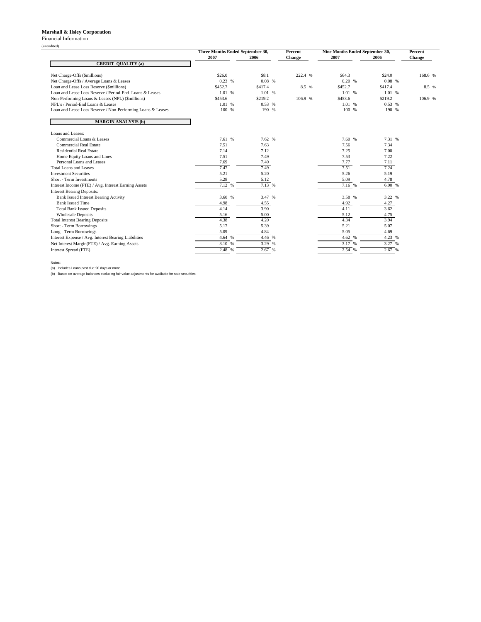#### **Marshall & Ilsley Corporation**

Financial Information

(unaudited)

| <b>CREDIT QUALITY (a)</b><br>Net Charge-Offs (\$millions)<br>Net Charge-Offs / Average Loans & Leases<br>Loan and Lease Loss Reserve (\$millions)<br>Loan and Lease Loss Reserve / Period-End Loans & Leases | 2007<br>\$26.0<br>0.23%<br>\$452.7<br>1.01 % | 2006<br>\$8.1<br>0.08%<br>\$417.4 | Change<br>222.4 % | 2007<br>\$64.3<br>0.20% | 2006<br>\$24.0 | Change<br>168.6 % |
|--------------------------------------------------------------------------------------------------------------------------------------------------------------------------------------------------------------|----------------------------------------------|-----------------------------------|-------------------|-------------------------|----------------|-------------------|
|                                                                                                                                                                                                              |                                              |                                   |                   |                         |                |                   |
|                                                                                                                                                                                                              |                                              |                                   |                   |                         |                |                   |
|                                                                                                                                                                                                              |                                              |                                   |                   |                         |                |                   |
|                                                                                                                                                                                                              |                                              |                                   |                   |                         | 0.08%          |                   |
|                                                                                                                                                                                                              |                                              |                                   | 8.5 %             | \$452.7                 | \$417.4        | 8.5 %             |
|                                                                                                                                                                                                              |                                              | 1.01 %                            |                   | 1.01 %                  | 1.01 %         |                   |
| Non-Performing Loans & Leases (NPL) (\$millions)                                                                                                                                                             | \$453.6                                      | \$219.2                           | 106.9 %           | \$453.6                 | \$219.2        | 106.9 %           |
| NPL's / Period-End Loans & Leases                                                                                                                                                                            | 1.01 %                                       | 0.53%                             |                   | 1.01 %                  | 0.53%          |                   |
| Loan and Lease Loss Reserve / Non-Performing Loans & Leases                                                                                                                                                  | 100 %                                        | 190 %                             |                   | 100 %                   | 190 %          |                   |
| <b>MARGIN ANALYSIS (b)</b>                                                                                                                                                                                   |                                              |                                   |                   |                         |                |                   |
| Loans and Leases:                                                                                                                                                                                            |                                              |                                   |                   |                         |                |                   |
| Commercial Loans & Leases                                                                                                                                                                                    | 7.61 %                                       | 7.62 %                            |                   | 7.60 %                  | 7.31 %         |                   |
| Commercial Real Estate                                                                                                                                                                                       | 7.51                                         | 7.63                              |                   | 7.56                    | 7.34           |                   |
| Residential Real Estate                                                                                                                                                                                      | 7.14                                         | 7.12                              |                   | 7.25                    | 7.00           |                   |
| Home Equity Loans and Lines                                                                                                                                                                                  | 7.51                                         | 7.49                              |                   | 7.53                    | 7.22           |                   |
| Personal Loans and Leases                                                                                                                                                                                    | 7.69                                         | 7.40                              |                   | 7.77                    | 7.11           |                   |
| Total Loans and Leases                                                                                                                                                                                       | 7.47                                         | 7.49                              |                   | 7.51                    | 7.24           |                   |
| <b>Investment Securities</b>                                                                                                                                                                                 | 5.21                                         | 5.20                              |                   | 5.26                    | 5.19           |                   |
| Short - Term Investments                                                                                                                                                                                     | 5.28                                         | 5.12                              |                   | 5.09                    | 4.78           |                   |
| Interest Income (FTE) / Avg. Interest Earning Assets                                                                                                                                                         | 7.12%                                        | 7.13%                             |                   | 7.16%                   | 6.90 %         |                   |
| <b>Interest Bearing Deposits:</b>                                                                                                                                                                            |                                              |                                   |                   |                         |                |                   |
| Bank Issued Interest Bearing Activity                                                                                                                                                                        | 3.60 %                                       | 3.47 %                            |                   | 3.58 %                  | 3.22 %         |                   |
| <b>Bank Issued Time</b>                                                                                                                                                                                      | 4.98                                         | 4.55                              |                   | 4.92                    | 4.27           |                   |
| <b>Total Bank Issued Deposits</b>                                                                                                                                                                            | 4.14                                         | 3.90                              |                   | 4.11                    | 3.62           |                   |
| <b>Wholesale Deposits</b>                                                                                                                                                                                    | 5.16                                         | 5.00                              |                   | 5.12                    | 4.75           |                   |
| <b>Total Interest Bearing Deposits</b>                                                                                                                                                                       | 4.38                                         | 4.20                              |                   | 4.34                    | 3.94           |                   |
| Short - Term Borrowings                                                                                                                                                                                      | 5.17                                         | 5.39                              |                   | 5.21                    | 5.07           |                   |
| Long - Term Borrowings                                                                                                                                                                                       | 5.09                                         | 4.84                              |                   | 5.05                    | 4.69           |                   |
| Interest Expense / Avg. Interest Bearing Liabilities                                                                                                                                                         | 4.64<br>$\frac{9}{6}$                        | 4.46 %                            |                   | 4.62 %                  | 4.23 %         |                   |
| Net Interest Margin(FTE) / Avg. Earning Assets                                                                                                                                                               | 3.10<br>$\frac{0}{6}$                        | 3.29 %                            |                   | 3.17 %                  | 3.27 %         |                   |
| Interest Spread (FTE)                                                                                                                                                                                        | 2.48 %                                       | 2.67%                             |                   | 2.54 %                  | 2.67%          |                   |

Notes: (a) Includes Loans past due 90 days or more. (b) Based on average balances excluding fair value adjustments for available for sale securities.